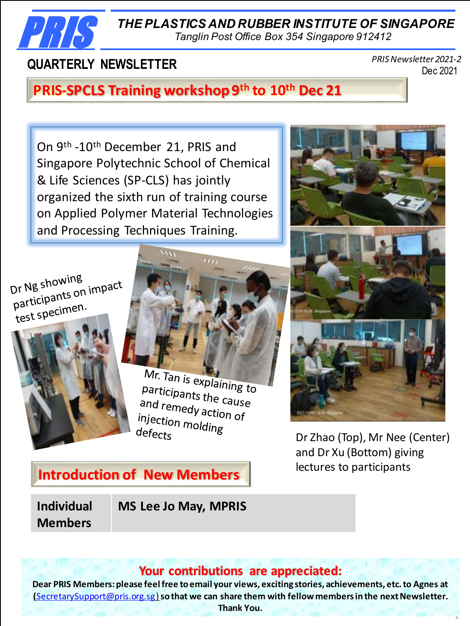*THE PLASTICS AND RUBBER INSTITUTE OF SINGAPORE*

*Tanglin Post Office Box 354 Singapore 912412*

# **QUARTERLY NEWSLETTER**

PRIS

Dec 2021 *PRIS Newsletter 2021-2*

# **PRIS-SPCLS Training workshop 9th to 10th Dec 21**

On 9<sup>th</sup> -10<sup>th</sup> December 21, PRIS and Singapore Polytechnic School of Chemical & Life Sciences (SP-CLS) has jointly organized the sixth run of training course on Applied Polymer Material Technologies and Processing Techniques Training.

Dr Ng showing Dr Ng showing<br>participants on impact<br>participanten. participamen.<br>test specimen.



Mr. Tan is explaining to Participants the cause<br>and remedused the cause and remedy action of<br>and remedy action of<br>injection mold: injection molding<br>defects  $defects$ 



Dr Zhao (Top), Mr Nee (Center) and Dr Xu (Bottom) giving lectures to participants

1

# **Introduction of New Members**

**Individual Members**

**MS Lee Jo May, MPRIS**

## **Your contributions are appreciated:**

**Dear PRIS Members: please feel free to email your views, exciting stories, achievements, etc. to Agnes at (**SecretarySupport@pris.org.sg) **so that we can share them with fellow members in the next Newsletter. Thank You.**